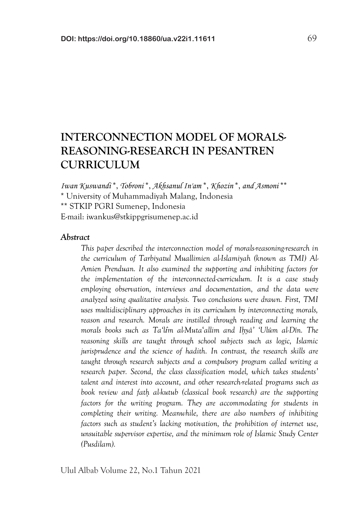# **INTERCONNECTION MODEL OF MORALS-REASONING-RESEARCH IN PESANTREN CURRICULUM**

*Iwan Kuswandi* \*, *Tobroni* \*, *Akhsanul In'am* \*, *Khozin* \*, *and Asmoni* \*\* \* University of Muhammadiyah Malang, Indonesia \*\* STKIP PGRI Sumenep, Indonesia E-mail: iwankus@stkippgrisumenep.ac.id

### *Abstract*

*This paper described the interconnection model of morals-reasoning-research in the curriculum of Tarbiyatul Muallimien al-Islamiyah (known as TMI) Al-Amien Prenduan. It also examined the supporting and inhibiting factors for the implementation of the interconnected-curriculum. It is a case study employing observation, interviews and documentation, and the data were analyzed using qualitative analysis. Two conclusions were drawn. First, TMI uses multidisciplinary approaches in its curriculum by interconnecting morals, reason and research. Morals are instilled through reading and learning the morals books such as Ta'lîm al-Muta*'*allim and Ih*}*yâ' 'Ulûm al-Dîn. The reasoning skills are taught through school subjects such as logic, Islamic jurisprudence and the science of hadith. In contrast, the research skills are taught through research subjects and a compulsory program called writing a research paper. Second, the class classification model, which takes students' talent and interest into account, and other research-related programs such as book review and fath*} *al-kutub (classical book research) are the supporting factors for the writing program. They are accommodating for students in completing their writing. Meanwhile, there are also numbers of inhibiting factors such as student's lacking motivation, the prohibition of internet use, unsuitable supervisor expertise, and the minimum role of Islamic Study Center (Pusdilam).*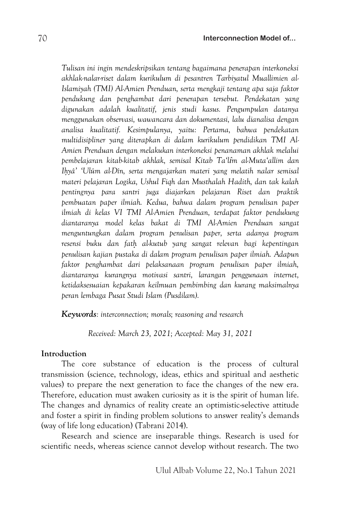*Tulisan ini ingin mendeskripsikan tentang bagaimana penerapan interkoneksi akhlak-nalar-riset dalam kurikulum di pesantren Tarbiyatul Muallimien al-Islamiyah (TMI) Al-Amien Prenduan, serta mengkaji tentang apa saja faktor pendukung dan penghambat dari penerapan tersebut. Pendekatan yang digunakan adalah kualitatif, jenis studi kasus. Pengumpulan datanya menggunakan observasi, wawancara dan dokumentasi, lalu dianalisa dengan analisa kualitatif. Kesimpulanya, yaitu: Pertama, bahwa pendekatan multidisipliner yang diterapkan di dalam kurikulum pendidikan TMI Al-Amien Prenduan dengan melakukan interkoneksi penanaman akhlak melalui pembelajaran kitab-kitab akhlak, semisal Kitab Ta'lîm al-Muta'allim dan Ih*}*yâ' 'Ulûm al-Dîn, serta mengajarkan materi yang melatih nalar semisal materi pelajaran Logika, Ushul Fiqh dan Musthalah Hadith, dan tak kalah pentingnya para santri juga diajarkan pelajaran Riset dan praktik pembuatan paper ilmiah. Kedua, bahwa dalam program penulisan paper ilmiah di kelas VI TMI Al-Amien Prenduan, terdapat faktor pendukung diantaranya model kelas bakat di TMI Al-Amien Prenduan sangat menguntungkan dalam program penulisan paper, serta adanya program resensi buku dan fath*} *al-kutub yang sangat relevan bagi kepentingan penulisan kajian pustaka di dalam program penulisan paper ilmiah. Adapun faktor penghambat dari pelaksanaan program penulisan paper ilmiah, diantaranya kurangnya motivasi santri, larangan penggunaan internet, ketidaksesuaian kepakaran keilmuan pembimbing dan kurang maksimalnya peran lembaga Pusat Studi Islam (Pusdilam).*

*Keywords: interconnection; morals; reasoning and research*

*Received: March 23, 2021; Accepted: May 31, 2021*

# **Introduction**

The core substance of education is the process of cultural transmission (science, technology, ideas, ethics and spiritual and aesthetic values) to prepare the next generation to face the changes of the new era. Therefore, education must awaken curiosity as it is the spirit of human life. The changes and dynamics of reality create an optimistic-selective attitude and foster a spirit in finding problem solutions to answer reality's demands (way of life long education) (Tabrani 2014).

Research and science are inseparable things. Research is used for scientific needs, whereas science cannot develop without research. The two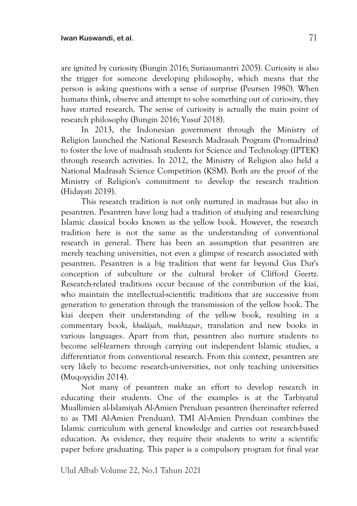are ignited by curiosity (Bungin 2016; Suriasumantri 2005). Curiosity is also the trigger for someone developing philosophy, which means that the person is asking questions with a sense of surprise (Peursen 1980). When humans think, observe and attempt to solve something out of curiosity, they have started research. The sense of curiosity is actually the main point of research philosophy (Bungin 2016; Yusuf 2018).

In 2013, the Indonesian government through the Ministry of Religion launched the National Research Madrasah Program (Promadrina) to foster the love of madrasah students for Science and Technology (IPTEK) through research activities. In 2012, the Ministry of Religion also held a National Madrasah Science Competition (KSM). Both are the proof of the Ministry of Religion's commitment to develop the research tradition (Hidayati 2019).

This research tradition is not only nurtured in madrasas but also in pesantren. Pesantren have long had a tradition of studying and researching Islamic classical books known as the yellow book. However, the research tradition here is not the same as the understanding of conventional research in general. There has been an assumption that pesantren are merely teaching universities, not even a glimpse of research associated with pesantren. Pesantren is a big tradition that went far beyond Gus Dur's conception of subculture or the cultural broker of Clifford Geertz. Research-related traditions occur because of the contribution of the kiai, who maintain the intellectual-scientific traditions that are successive from generation to generation through the transmission of the yellow book. The kiai deepen their understanding of the yellow book, resulting in a commentary book, *khulâs*}*ah*, *mukhtas*}*ar*, translation and new books in various languages. Apart from that, pesantren also nurture students to become self-learners through carrying out independent Islamic studies, a differentiator from conventional research. From this context, pesantren are very likely to become research-universities, not only teaching universities (Muqoyyidin 2014).

Not many of pesantren make an effort to develop research in educating their students. One of the examples is at the Tarbiyatul Muallimien al-Islamiyah Al-Amien Prenduan pesantren (hereinafter referred to as TMI Al-Amien Prenduan). TMI Al-Amien Prenduan combines the Islamic curriculum with general knowledge and carries out research-based education. As evidence, they require their students to write a scientific paper before graduating. This paper is a compulsory program for final year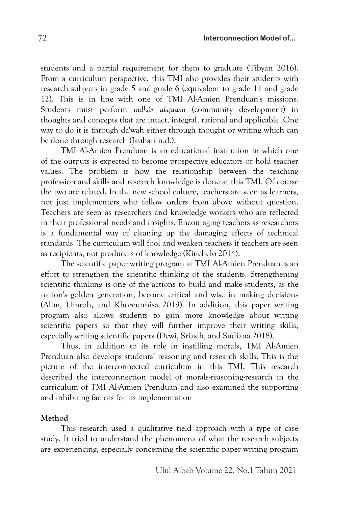students and a partial requirement for them to graduate (Tibyan 2016). From a curriculum perspective, this TMI also provides their students with research subjects in grade 5 and grade 6 (equivalent to grade 11 and grade 12). This is in line with one of TMI Al-Amien Prenduan's missions. Students must perform *indhâr al-qawm* (community development) in thoughts and concepts that are intact, integral, rational and applicable. One way to do it is through da'wah either through thought or writing which can be done through research (Jauhari n.d.).

TMI Al-Amien Prenduan is an educational institution in which one of the outputs is expected to become prospective educators or hold teacher values. The problem is how the relationship between the teaching profession and skills and research knowledge is done at this TMI. Of course the two are related. In the new school culture, teachers are seen as learners, not just implementers who follow orders from above without question. Teachers are seen as researchers and knowledge workers who are reflected in their professional needs and insights. Encouraging teachers as researchers is a fundamental way of cleaning up the damaging effects of technical standards. The curriculum will fool and weaken teachers if teachers are seen as recipients, not producers of knowledge (Kinchelo 2014).

The scientific paper writing program at TMI Al-Amien Prenduan is an effort to strengthen the scientific thinking of the students. Strengthening scientific thinking is one of the actions to build and make students, as the nation's golden generation, become critical and wise in making decisions (Alim, Umroh, and Khoreunnisa 2019). In addition, this paper writing program also allows students to gain more knowledge about writing scientific papers so that they will further improve their writing skills, especially writing scientific papers (Dewi, Sriasih, and Sudiana 2018).

Thus, in addition to its role in instilling morals, TMI Al-Amien Prenduan also develops students' reasoning and research skills. This is the picture of the interconnected curriculum in this TMI. This research described the interconnection model of morals-reasoning-research in the curriculum of TMI Al-Amien Prenduan and also examined the supporting and inhibiting factors for its implementation

### **Method**

This research used a qualitative field approach with a type of case study. It tried to understand the phenomena of what the research subjects are experiencing, especially concerning the scientific paper writing program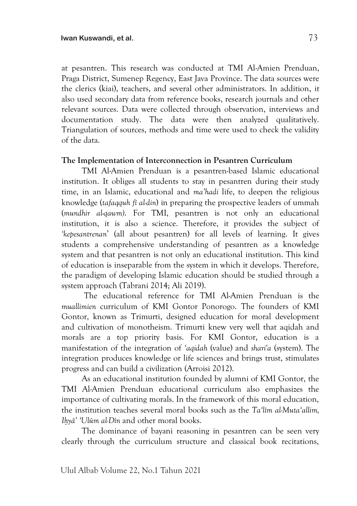at pesantren. This research was conducted at TMI Al-Amien Prenduan, Praga District, Sumenep Regency, East Java Province. The data sources were the clerics (kiai), teachers, and several other administrators. In addition, it also used secondary data from reference books, research journals and other relevant sources. Data were collected through observation, interviews and documentation study. The data were then analyzed qualitatively. Triangulation of sources, methods and time were used to check the validity of the data.

# **The Implementation of Interconnection in Pesantren Curriculum**

TMI Al-Amien Prenduan is a pesantren-based Islamic educational institution. It obliges all students to stay in pesantren during their study time, in an Islamic, educational and *ma'hadi* life, to deepen the religious knowledge (*tafaqquh fî al-din*) in preparing the prospective leaders of ummah (*mundhir al-qawm)*. For TMI, pesantren is not only an educational institution, it is also a science. Therefore, it provides the subject of *'kepesantrenan*' (all about pesantren) for all levels of learning. It gives students a comprehensive understanding of pesantren as a knowledge system and that pesantren is not only an educational institution. This kind of education is inseparable from the system in which it develops. Therefore, the paradigm of developing Islamic education should be studied through a system approach (Tabrani 2014; Ali 2019).

The educational reference for TMI Al-Amien Prenduan is the *muallimien* curriculum of KMI Gontor Ponorogo. The founders of KMI Gontor, known as Trimurti, designed education for moral development and cultivation of monotheism. Trimurti knew very well that aqidah and morals are a top priority basis. For KMI Gontor, education is a manifestation of the integration of *'aqidah* (value) and *shari'a* (system). The integration produces knowledge or life sciences and brings trust, stimulates progress and can build a civilization (Arroisi 2012).

As an educational institution founded by alumni of KMI Gontor, the TMI Al-Amien Prenduan educational curriculum also emphasizes the importance of cultivating morals. In the framework of this moral education, the institution teaches several moral books such as the *Ta'lîm al-Muta'allim, Ih*}*yâ' 'Ulûm al-Dîn* and other moral books.

The dominance of bayani reasoning in pesantren can be seen very clearly through the curriculum structure and classical book recitations,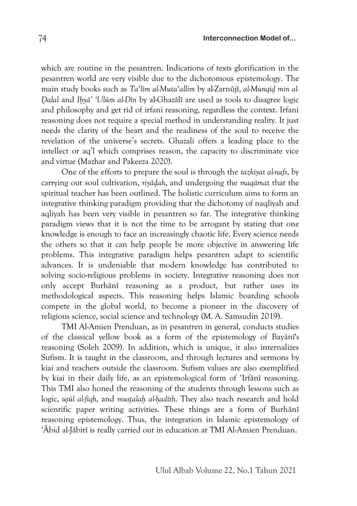which are routine in the pesantren. Indications of texts glorification in the pesantren world are very visible due to the dichotomous epistemology. The main study books such as *Ta*'*lîm al-Muta*'*allim* by al-Zarnûjî, *al-Munqid*} *min al-D*{*alal* and *Ih*}*yâ' 'Ulûm al-Dîn* by al-Ghazâlî are used as tools to disagree logic and philosophy and get rid of irfani reasoning, regardless the context. Irfani reasoning does not require a special method in understanding reality. It just needs the clarity of the heart and the readiness of the soul to receive the revelation of the universe's secrets. Ghazali offers a leading place to the intellect or aq'l which comprises reason, the capacity to discriminate vice and virtue (Mazhar and Pakeeza 2020).

One of the efforts to prepare the soul is through the *tazkiyat al-nafs*, by carrying out soul cultivation, *riyâd*}*ah*, and undergoing the *maqâmat* that the spiritual teacher has been outlined. The holistic curriculum aims to form an integrative thinking paradigm providing that the dichotomy of naqliyah and aqliyah has been very visible in pesantren so far. The integrative thinking paradigm views that it is not the time to be arrogant by stating that one knowledge is enough to face an increasingly chaotic life. Every science needs the others so that it can help people be more objective in answering life problems. This integrative paradigm helps pesantren adapt to scientific advances. It is undeniable that modern knowledge has contributed to solving socio-religious problems in society. Integrative reasoning does not only accept Burhânî reasoning as a product, but rather uses its methodological aspects. This reasoning helps Islamic boarding schools compete in the global world, to become a pioneer in the discovery of religious science, social science and technology (M. A. Samsudin 2019).

TMI Al-Amien Prenduan, as in pesantren in general, conducts studies of the classical yellow book as a form of the epistemology of Bayânî's reasoning (Soleh 2009). In addition, which is unique, it also internalizes Sufism. It is taught in the classroom, and through lectures and sermons by kiai and teachers outside the classroom. Sufism values are also exemplified by kiai in their daily life, as an epistemological form of 'Irfânî reasoning. This TMI also honed the reasoning of the students through lessons such as logic, *us*}*ûl al-fiqh*, and *must*}*alah*} *al-h*}*adîth*. They also teach research and hold scientific paper writing activities. These things are a form of Burhânî reasoning epistemology. Thus, the integration in Islamic epistemology of 'Âbid al-Jâbirî is really carried out in education at TMI Al-Amien Prenduan.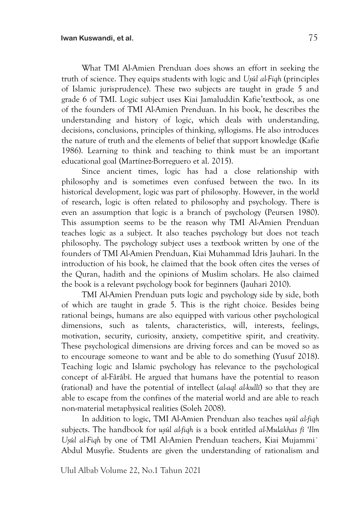What TMI Al-Amien Prenduan does shows an effort in seeking the truth of science. They equips students with logic and *Us*}*ûl al-Fiqh* (principles of Islamic jurisprudence). These two subjects are taught in grade 5 and grade 6 of TMI. Logic subject uses Kiai Jamaluddin Kafie'textbook, as one of the founders of TMI Al-Amien Prenduan. In his book, he describes the understanding and history of logic, which deals with understanding, decisions, conclusions, principles of thinking, syllogisms. He also introduces the nature of truth and the elements of belief that support knowledge (Kafie 1986). Learning to think and teaching to think must be an important educational goal (Martínez-Borreguero et al. 2015).

Since ancient times, logic has had a close relationship with philosophy and is sometimes even confused between the two. In its historical development, logic was part of philosophy. However, in the world of research, logic is often related to philosophy and psychology. There is even an assumption that logic is a branch of psychology (Peursen 1980). This assumption seems to be the reason why TMI Al-Amien Prenduan teaches logic as a subject. It also teaches psychology but does not teach philosophy. The psychology subject uses a textbook written by one of the founders of TMI Al-Amien Prenduan, Kiai Muhammad Idris Jauhari. In the introduction of his book, he claimed that the book often cites the verses of the Quran, hadith and the opinions of Muslim scholars. He also claimed the book is a relevant psychology book for beginners (Jauhari 2010).

TMI Al-Amien Prenduan puts logic and psychology side by side, both of which are taught in grade 5. This is the right choice. Besides being rational beings, humans are also equipped with various other psychological dimensions, such as talents, characteristics, will, interests, feelings, motivation, security, curiosity, anxiety, competitive spirit, and creativity. These psychological dimensions are driving forces and can be moved so as to encourage someone to want and be able to do something (Yusuf 2018). Teaching logic and Islamic psychology has relevance to the psychological concept of al-Fârâbî. He argued that humans have the potential to reason (rational) and have the potential of intellect (*al-aql al-kullî*) so that they are able to escape from the confines of the material world and are able to reach non-material metaphysical realities (Soleh 2008).

In addition to logic, TMI Al-Amien Prenduan also teaches *usûl al-fiqh* subjects. The handbook for *us*}*ûl al-fiqh* is a book entitled *al-Mulakhas fî 'Ilm Us*}*ûl al-Fiqh* by one of TMI Al-Amien Prenduan teachers, Kiai Mujammi` Abdul Musyfie. Students are given the understanding of rationalism and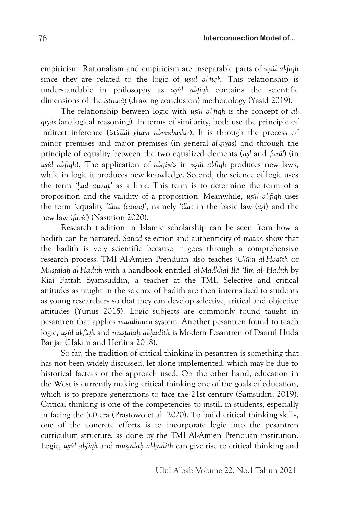empiricism. Rationalism and empiricism are inseparable parts of *usûl alfiqh* since they are related to the logic of *usul al-fiqh*. This relationship is understandable in philosophy as *usûl al-figh* contains the scientific dimensions of the *istinbât*} (drawing conclusion) methodology (Yasid 2019).

The relationship between logic with *usûl al-fiqh* is the concept of *alqiyâs* (analogical reasoning). In terms of similarity, both use the principle of indirect inference (*istidlâl ghayr al-mubashir*). It is through the process of minor premises and major premises (in general *al-qiyâs*) and through the principle of equality between the two equalized elements (*as*}*l* and *furû'*) (in *usûl al-fiqh*). The application of *al-qiyâs* in *usûl al-fiqh* produces new laws, while in logic it produces new knowledge. Second, the science of logic uses the term '*h*}*ad awsat*}*'* as a link. This term is to determine the form of a proposition and the validity of a proposition. Meanwhile, *usûl al-fiqh* uses the term 'equality *'íllat (cause)'*, namely *'íllat* in the basic law (*as*}*l*) and the new law (*furû'*) (Nasution 2020).

Research tradition in Islamic scholarship can be seen from how a hadith can be narrated. *Sanad* selection and authenticity of *matan* show that the hadith is very scientific because it goes through a comprehensive research process. TMI Al-Amien Prenduan also teaches *'Ulûm al-H*{*adîth* or *Must*}*alah*} *al-H*{*adîth* with a handbook entitled *al-Madkhal Ilâ 'Ilm al- H*{*adîth* by Kiai Fattah Syamsuddin, a teacher at the TMI. Selective and critical attitudes as taught in the science of hadith are then internalized to students as young researchers so that they can develop selective, critical and objective attitudes (Yunus 2015). Logic subjects are commonly found taught in pesantren that applies *muallimien* system. Another pesantren found to teach logic, *us*}*ûl al-fiqh* and *must*}*alah*} *al-h*}*adîth* is Modern Pesantren of Daarul Huda Banjar (Hakim and Herlina 2018).

So far, the tradition of critical thinking in pesantren is something that has not been widely discussed, let alone implemented, which may be due to historical factors or the approach used. On the other hand, education in the West is currently making critical thinking one of the goals of education, which is to prepare generations to face the 21st century (Samsudin, 2019). Critical thinking is one of the competencies to instill in students, especially in facing the 5.0 era (Prastowo et al. 2020). To build critical thinking skills, one of the concrete efforts is to incorporate logic into the pesantren curriculum structure, as done by the TMI Al-Amien Prenduan institution. Logic, *usûl al-fiqh* and *mustalah al-hadîth* can give rise to critical thinking and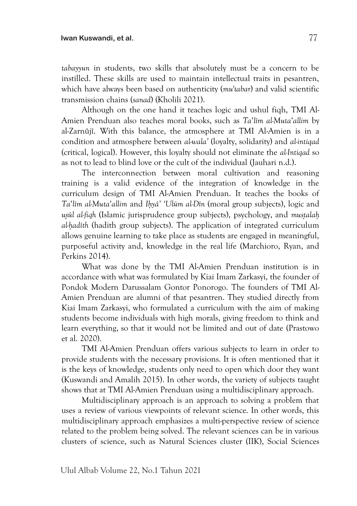*tabayyun* in students, two skills that absolutely must be a concern to be instilled. These skills are used to maintain intellectual traits in pesantren, which have always been based on authenticity (*mu'tabar*) and valid scientific transmission chains (*sanad*) (Kholili 2021).

Although on the one hand it teaches logic and ushul fiqh, TMI Al-Amien Prenduan also teaches moral books, such as *Ta*'*lîm al-Muta*'*allim* by al-Zarnûjî. With this balance, the atmosphere at TMI Al-Amien is in a condition and atmosphere between *al-wala'* (loyalty, solidarity) and *al-intiqad*  (critical, logical). However, this loyalty should not eliminate the *al-Intiqad* so as not to lead to blind love or the cult of the individual (Jauhari n.d.).

The interconnection between moral cultivation and reasoning training is a valid evidence of the integration of knowledge in the curriculum design of TMI Al-Amien Prenduan. It teaches the books of *Ta*'*lîm al-Muta*'*allim* and *Ih*}*yâ' 'Ulûm al-Dîn* (moral group subjects), logic and *usûl al-fiqh* (Islamic jurisprudence group subjects), psychology, and *mustalah al-h*}*adîth* (hadith group subjects). The application of integrated curriculum allows genuine learning to take place as students are engaged in meaningful, purposeful activity and, knowledge in the real life (Marchioro, Ryan, and Perkins 2014).

What was done by the TMI Al-Amien Prenduan institution is in accordance with what was formulated by Kiai Imam Zarkasyi, the founder of Pondok Modern Darussalam Gontor Ponorogo. The founders of TMI Al-Amien Prenduan are alumni of that pesantren. They studied directly from Kiai Imam Zarkasyi, who formulated a curriculum with the aim of making students become individuals with high morals, giving freedom to think and learn everything, so that it would not be limited and out of date (Prastowo et al. 2020).

TMI Al-Amien Prenduan offers various subjects to learn in order to provide students with the necessary provisions. It is often mentioned that it is the keys of knowledge, students only need to open which door they want (Kuswandi and Amalih 2015). In other words, the variety of subjects taught shows that at TMI Al-Amien Prenduan using a multidisciplinary approach.

Multidisciplinary approach is an approach to solving a problem that uses a review of various viewpoints of relevant science. In other words, this multidisciplinary approach emphasizes a multi-perspective review of science related to the problem being solved. The relevant sciences can be in various clusters of science, such as Natural Sciences cluster (IIK), Social Sciences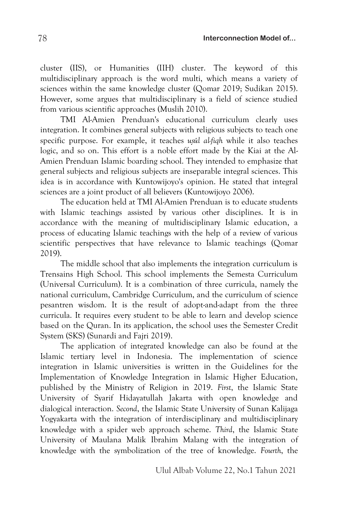cluster (IIS), or Humanities (IIH) cluster. The keyword of this multidisciplinary approach is the word multi, which means a variety of sciences within the same knowledge cluster (Qomar 2019; Sudikan 2015). However, some argues that multidisciplinary is a field of science studied from various scientific approaches (Muslih 2010).

TMI Al-Amien Prenduan's educational curriculum clearly uses integration. It combines general subjects with religious subjects to teach one specific purpose. For example, it teaches *usûl al-fiqh* while it also teaches logic, and so on. This effort is a noble effort made by the Kiai at the Al-Amien Prenduan Islamic boarding school. They intended to emphasize that general subjects and religious subjects are inseparable integral sciences. This idea is in accordance with Kuntowijoyo's opinion. He stated that integral sciences are a joint product of all believers (Kuntowijoyo 2006).

The education held at TMI Al-Amien Prenduan is to educate students with Islamic teachings assisted by various other disciplines. It is in accordance with the meaning of multidisciplinary Islamic education, a process of educating Islamic teachings with the help of a review of various scientific perspectives that have relevance to Islamic teachings (Qomar 2019).

The middle school that also implements the integration curriculum is Trensains High School. This school implements the Semesta Curriculum (Universal Curriculum). It is a combination of three curricula, namely the national curriculum, Cambridge Curriculum, and the curriculum of science pesantren wisdom. It is the result of adopt-and-adapt from the three curricula. It requires every student to be able to learn and develop science based on the Quran. In its application, the school uses the Semester Credit System (SKS) (Sunardi and Fajri 2019).

The application of integrated knowledge can also be found at the Islamic tertiary level in Indonesia. The implementation of science integration in Islamic universities is written in the Guidelines for the Implementation of Knowledge Integration in Islamic Higher Education, published by the Ministry of Religion in 2019. *First*, the Islamic State University of Syarif Hidayatullah Jakarta with open knowledge and dialogical interaction. *Second*, the Islamic State University of Sunan Kalijaga Yogyakarta with the integration of interdisciplinary and multidisciplinary knowledge with a spider web approach scheme. *Third*, the Islamic State University of Maulana Malik Ibrahim Malang with the integration of knowledge with the symbolization of the tree of knowledge. *Fourth*, the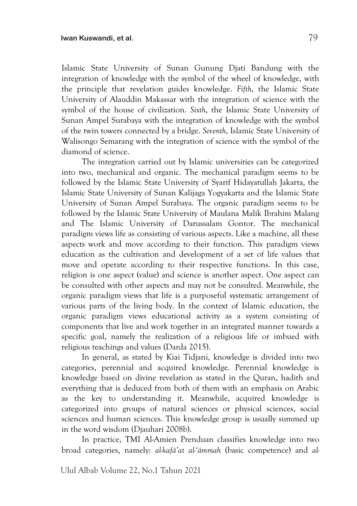Islamic State University of Sunan Gunung Djati Bandung with the integration of knowledge with the symbol of the wheel of knowledge, with the principle that revelation guides knowledge. *Fifth*, the Islamic State University of Alauddin Makassar with the integration of science with the symbol of the house of civilization. *Sixth*, the Islamic State University of Sunan Ampel Surabaya with the integration of knowledge with the symbol of the twin towers connected by a bridge. *Seventh*, Islamic State University of Walisongo Semarang with the integration of science with the symbol of the diamond of science.

The integration carried out by Islamic universities can be categorized into two, mechanical and organic. The mechanical paradigm seems to be followed by the Islamic State University of Syarif Hidayatullah Jakarta, the Islamic State University of Sunan Kalijaga Yogyakarta and the Islamic State University of Sunan Ampel Surabaya. The organic paradigm seems to be followed by the Islamic State University of Maulana Malik Ibrahim Malang and The Islamic University of Darussalam Gontor. The mechanical paradigm views life as consisting of various aspects. Like a machine, all these aspects work and move according to their function. This paradigm views education as the cultivation and development of a set of life values that move and operate according to their respective functions. In this case, religion is one aspect (value) and science is another aspect. One aspect can be consulted with other aspects and may not be consulted. Meanwhile, the organic paradigm views that life is a purposeful systematic arrangement of various parts of the living body. In the context of Islamic education, the organic paradigm views educational activity as a system consisting of components that live and work together in an integrated manner towards a specific goal, namely the realization of a religious life or imbued with religious teachings and values (Darda 2015).

In general, as stated by Kiai Tidjani, knowledge is divided into two categories, perennial and acquired knowledge. Perennial knowledge is knowledge based on divine revelation as stated in the Quran, hadith and everything that is deduced from both of them with an emphasis on Arabic as the key to understanding it. Meanwhile, acquired knowledge is categorized into groups of natural sciences or physical sciences, social sciences and human sciences. This knowledge group is usually summed up in the word wisdom (Djauhari 2008b).

In practice, TMI Al-Amien Prenduan classifies knowledge into two broad categories, namely: *al-kafâ'at al-'âmmah* (basic competence) and *al-*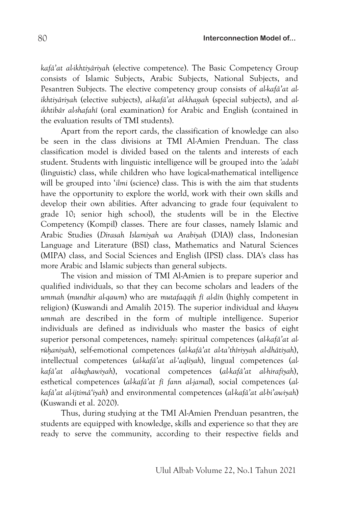*kafâ'at al-ikhtiyâriyah* (elective competence). The Basic Competency Group consists of Islamic Subjects, Arabic Subjects, National Subjects, and Pesantren Subjects. The elective competency group consists of *al-kafâ'at alikhtiyâriyah* (elective subjects), *al-kafâ'at al-khassah* (special subjects), and *alikhtibâr al-shafahî* (oral examination) for Arabic and English (contained in the evaluation results of TMI students).

Apart from the report cards, the classification of knowledge can also be seen in the class divisions at TMI Al-Amien Prenduan. The class classification model is divided based on the talents and interests of each student. Students with linguistic intelligence will be grouped into the *'adabî* (linguistic) class, while children who have logical-mathematical intelligence will be grouped into '*ilmi* (science) class. This is with the aim that students have the opportunity to explore the world, work with their own skills and develop their own abilities. After advancing to grade four (equivalent to grade 10; senior high school), the students will be in the Elective Competency (Kompil) classes. There are four classes, namely Islamic and Arabic Studies (*Dirasah Islamiyah wa Arabiyah* (DIA)) class, Indonesian Language and Literature (BSI) class, Mathematics and Natural Sciences (MIPA) class, and Social Sciences and English (IPSI) class. DIA's class has more Arabic and Islamic subjects than general subjects.

The vision and mission of TMI Al-Amien is to prepare superior and qualified individuals, so that they can become scholars and leaders of the *ummah* (*mundhir al-qawm*) who are *mutafaqqih fî al-dîn* (highly competent in religion) (Kuswandi and Amalih 2015)*.* The superior individual and *khayru ummah* are described in the form of multiple intelligence. Superior individuals are defined as individuals who master the basics of eight superior personal competences, namely: spiritual competences (alkafâ'at al*rûh*}*aniyah*), self-emotional competences (*al-kafâ'at al-ta'thîriyyah al-dhâtiyah*), intellectual competences (*al-kafâ'at al-'aqliyah*), lingual competences (*alkafâ'at al-lughawiyah*), vocational competences (*al-kafâ'at al-hirafiyah*), esthetical competences (*al-kafâ'at fî fann al-jamal*), social competences (*alkafâ'at al-ijtimâ'iyah*) and environmental competences (*al-kafâ'at al-bi'awiyah*) (Kuswandi et al. 2020).

Thus, during studying at the TMI Al-Amien Prenduan pesantren, the students are equipped with knowledge, skills and experience so that they are ready to serve the community, according to their respective fields and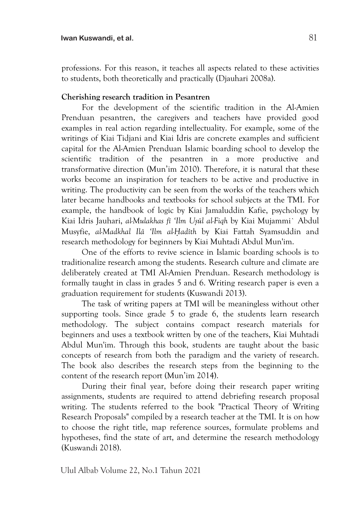professions. For this reason, it teaches all aspects related to these activities to students, both theoretically and practically (Djauhari 2008a).

## **Cherishing research tradition in Pesantren**

For the development of the scientific tradition in the Al-Amien Prenduan pesantren, the caregivers and teachers have provided good examples in real action regarding intellectuality. For example, some of the writings of Kiai Tidjani and Kiai Idris are concrete examples and sufficient capital for the Al-Amien Prenduan Islamic boarding school to develop the scientific tradition of the pesantren in a more productive and transformative direction (Mun'im 2010). Therefore, it is natural that these works become an inspiration for teachers to be active and productive in writing. The productivity can be seen from the works of the teachers which later became handbooks and textbooks for school subjects at the TMI. For example, the handbook of logic by Kiai Jamaluddin Kafie, psychology by Kiai Idris Jauhari, *al-Mulakhas fî 'Ilm Us*}*ûl al-Fiqh* by Kiai Mujammi` Abdul Musyfie, *al-Madkhal Ilâ 'Ilm al-H*{*adîth* by Kiai Fattah Syamsuddin and research methodology for beginners by Kiai Muhtadi Abdul Mun'im.

One of the efforts to revive science in Islamic boarding schools is to traditionalize research among the students. Research culture and climate are deliberately created at TMI Al-Amien Prenduan. Research methodology is formally taught in class in grades 5 and 6. Writing research paper is even a graduation requirement for students (Kuswandi 2013).

The task of writing papers at TMI will be meaningless without other supporting tools. Since grade 5 to grade 6, the students learn research methodology. The subject contains compact research materials for beginners and uses a textbook written by one of the teachers, Kiai Muhtadi Abdul Mun'im. Through this book, students are taught about the basic concepts of research from both the paradigm and the variety of research. The book also describes the research steps from the beginning to the content of the research report (Mun'im 2014).

During their final year, before doing their research paper writing assignments, students are required to attend debriefing research proposal writing. The students referred to the book "Practical Theory of Writing Research Proposals" compiled by a research teacher at the TMI. It is on how to choose the right title, map reference sources, formulate problems and hypotheses, find the state of art, and determine the research methodology (Kuswandi 2018).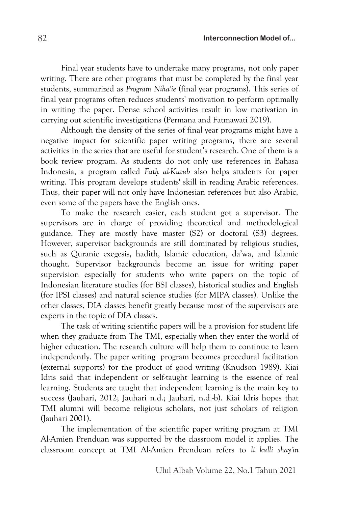Final year students have to undertake many programs, not only paper writing. There are other programs that must be completed by the final year students, summarized as *Program Niha'ie* (final year programs). This series of final year programs often reduces students' motivation to perform optimally in writing the paper. Dense school activities result in low motivation in carrying out scientific investigations (Permana and Fatmawati 2019).

Although the density of the series of final year programs might have a negative impact for scientific paper writing programs, there are several activities in the series that are useful for student's research. One of them is a book review program. As students do not only use references in Bahasa Indonesia, a program called *Fath*} *al-Kutub* also helps students for paper writing. This program develops students' skill in reading Arabic references. Thus, their paper will not only have Indonesian references but also Arabic, even some of the papers have the English ones.

To make the research easier, each student got a supervisor. The supervisors are in charge of providing theoretical and methodological guidance. They are mostly have master (S2) or doctoral (S3) degrees. However, supervisor backgrounds are still dominated by religious studies, such as Quranic exegesis, hadith, Islamic education, da'wa, and Islamic thought. Supervisor backgrounds become an issue for writing paper supervision especially for students who write papers on the topic of Indonesian literature studies (for BSI classes), historical studies and English (for IPSI classes) and natural science studies (for MIPA classes). Unlike the other classes, DIA classes benefit greatly because most of the supervisors are experts in the topic of DIA classes.

The task of writing scientific papers will be a provision for student life when they graduate from The TMI, especially when they enter the world of higher education. The research culture will help them to continue to learn independently. The paper writing program becomes procedural facilitation (external supports) for the product of good writing (Knudson 1989). Kiai Idris said that independent or self-taught learning is the essence of real learning. Students are taught that independent learning is the main key to success (Jauhari, 2012; Jauhari n.d.; Jauhari, n.d.-b). Kiai Idris hopes that TMI alumni will become religious scholars, not just scholars of religion (Jauhari 2001).

The implementation of the scientific paper writing program at TMI Al-Amien Prenduan was supported by the classroom model it applies. The classroom concept at TMI Al-Amien Prenduan refers to *li kulli shay'in*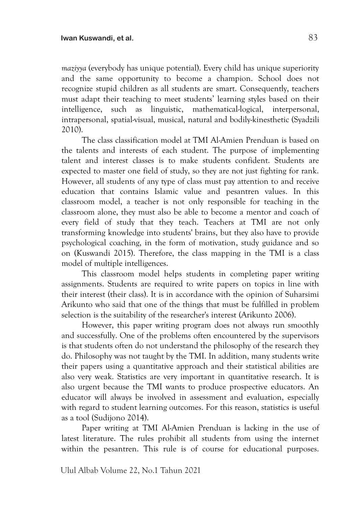*maziyya* (everybody has unique potential). Every child has unique superiority and the same opportunity to become a champion. School does not recognize stupid children as all students are smart. Consequently, teachers must adapt their teaching to meet students' learning styles based on their intelligence, such as linguistic, mathematical-logical, interpersonal, intrapersonal, spatial-visual, musical, natural and bodily-kinesthetic (Syadzili 2010).

The class classification model at TMI Al-Amien Prenduan is based on the talents and interests of each student. The purpose of implementing talent and interest classes is to make students confident. Students are expected to master one field of study, so they are not just fighting for rank. However, all students of any type of class must pay attention to and receive education that contains Islamic value and pesantren values. In this classroom model, a teacher is not only responsible for teaching in the classroom alone, they must also be able to become a mentor and coach of every field of study that they teach. Teachers at TMI are not only transforming knowledge into students' brains, but they also have to provide psychological coaching, in the form of motivation, study guidance and so on (Kuswandi 2015). Therefore, the class mapping in the TMI is a class model of multiple intelligences.

This classroom model helps students in completing paper writing assignments. Students are required to write papers on topics in line with their interest (their class). It is in accordance with the opinion of Suharsimi Arikunto who said that one of the things that must be fulfilled in problem selection is the suitability of the researcher's interest (Arikunto 2006).

However, this paper writing program does not always run smoothly and successfully. One of the problems often encountered by the supervisors is that students often do not understand the philosophy of the research they do. Philosophy was not taught by the TMI. In addition, many students write their papers using a quantitative approach and their statistical abilities are also very weak. Statistics are very important in quantitative research. It is also urgent because the TMI wants to produce prospective educators. An educator will always be involved in assessment and evaluation, especially with regard to student learning outcomes. For this reason, statistics is useful as a tool (Sudijono 2014).

Paper writing at TMI Al-Amien Prenduan is lacking in the use of latest literature. The rules prohibit all students from using the internet within the pesantren. This rule is of course for educational purposes.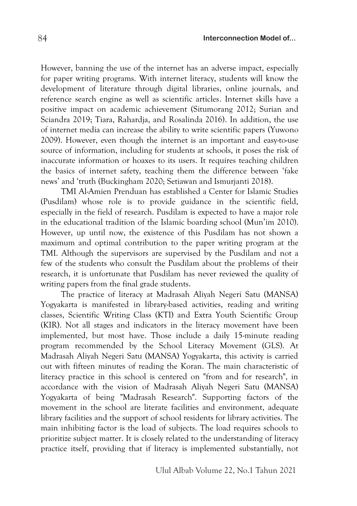However, banning the use of the internet has an adverse impact, especially for paper writing programs. With internet literacy, students will know the development of literature through digital libraries, online journals, and reference search engine as well as scientific articles. Internet skills have a positive impact on academic achievement (Situmorang 2012; Surian and Sciandra 2019; Tiara, Rahardja, and Rosalinda 2016). In addition, the use of internet media can increase the ability to write scientific papers (Yuwono 2009). However, even though the internet is an important and easy-to-use source of information, including for students at schools, it poses the risk of inaccurate information or hoaxes to its users. It requires teaching children the basics of internet safety, teaching them the difference between 'fake news' and 'truth (Buckingham 2020; Setiawan and Ismurjanti 2018).

TMI Al-Amien Prenduan has established a Center for Islamic Studies (Pusdilam) whose role is to provide guidance in the scientific field, especially in the field of research. Pusdilam is expected to have a major role in the educational tradition of the Islamic boarding school (Mun'im 2010). However, up until now, the existence of this Pusdilam has not shown a maximum and optimal contribution to the paper writing program at the TMI. Although the supervisors are supervised by the Pusdilam and not a few of the students who consult the Pusdilam about the problems of their research, it is unfortunate that Pusdilam has never reviewed the quality of writing papers from the final grade students.

The practice of literacy at Madrasah Aliyah Negeri Satu (MANSA) Yogyakarta is manifested in library-based activities, reading and writing classes, Scientific Writing Class (KTI) and Extra Youth Scientific Group (KIR). Not all stages and indicators in the literacy movement have been implemented, but most have. Those include a daily 15-minute reading program recommended by the School Literacy Movement (GLS). At Madrasah Aliyah Negeri Satu (MANSA) Yogyakarta, this activity is carried out with fifteen minutes of reading the Koran. The main characteristic of literacy practice in this school is centered on "from and for research", in accordance with the vision of Madrasah Aliyah Negeri Satu (MANSA) Yogyakarta of being "Madrasah Research". Supporting factors of the movement in the school are literate facilities and environment, adequate library facilities and the support of school residents for library activities. The main inhibiting factor is the load of subjects. The load requires schools to prioritize subject matter. It is closely related to the understanding of literacy practice itself, providing that if literacy is implemented substantially, not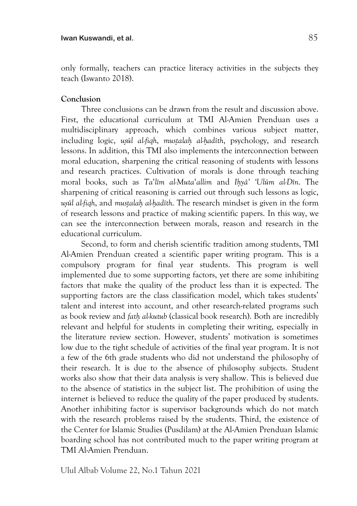only formally, teachers can practice literacy activities in the subjects they teach (Iswanto 2018).

## **Conclusion**

Three conclusions can be drawn from the result and discussion above. First, the educational curriculum at TMI Al-Amien Prenduan uses a multidisciplinary approach, which combines various subject matter, including logic, *us*}*ûl al-fiqh*, *must*}*alah*} *al-h*}*adîth*, psychology, and research lessons. In addition, this TMI also implements the interconnection between moral education, sharpening the critical reasoning of students with lessons and research practices. Cultivation of morals is done through teaching moral books, such as *Ta*'*lîm al-Muta*'*allim* and *Ih*}*yâ' 'Ulûm al-Dîn*. The sharpening of critical reasoning is carried out through such lessons as logic, *us*}*ûl al-fiqh*, and *must*}*alah*} *al-h*}*adîth*. The research mindset is given in the form of research lessons and practice of making scientific papers. In this way, we can see the interconnection between morals, reason and research in the educational curriculum.

Second, to form and cherish scientific tradition among students, TMI Al-Amien Prenduan created a scientific paper writing program. This is a compulsory program for final year students. This program is well implemented due to some supporting factors, yet there are some inhibiting factors that make the quality of the product less than it is expected. The supporting factors are the class classification model, which takes students' talent and interest into account, and other research-related programs such as book review and *fath*} *al-kutub* (classical book research). Both are incredibly relevant and helpful for students in completing their writing, especially in the literature review section. However, students' motivation is sometimes low due to the tight schedule of activities of the final year program. It is not a few of the 6th grade students who did not understand the philosophy of their research. It is due to the absence of philosophy subjects. Student works also show that their data analysis is very shallow. This is believed due to the absence of statistics in the subject list. The prohibition of using the internet is believed to reduce the quality of the paper produced by students. Another inhibiting factor is supervisor backgrounds which do not match with the research problems raised by the students. Third, the existence of the Center for Islamic Studies (Pusdilam) at the Al-Amien Prenduan Islamic boarding school has not contributed much to the paper writing program at TMI Al-Amien Prenduan.

Ulul Albab Volume 22, No.1 Tahun 2021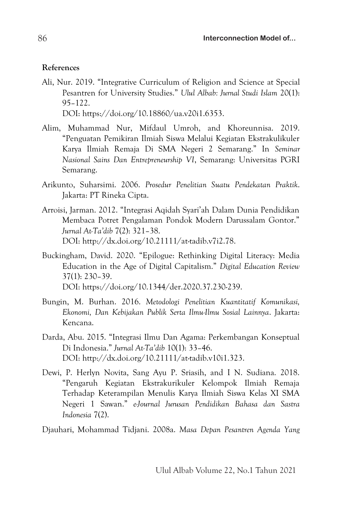# **References**

Ali, Nur. 2019. "Integrative Curriculum of Religion and Science at Special Pesantren for University Studies." *Ulul Albab: Jurnal Studi Islam* 20(1): 95–122.

DOI: https://doi.org/10.18860/ua.v20i1.6353.

- Alim, Muhammad Nur, Mifdaul Umroh, and Khoreunnisa. 2019. "Penguatan Pemikiran Ilmiah Siswa Melalui Kegiatan Ekstrakulikuler Karya Ilmiah Remaja Di SMA Negeri 2 Semarang." In *Seminar Nasional Sains Dan Entrepreneurship VI*, Semarang: Universitas PGRI Semarang.
- Arikunto, Suharsimi. 2006. *Prosedur Penelitian Suatu Pendekatan Praktik*. Jakarta: PT Rineka Cipta.
- Arroisi, Jarman. 2012. "Integrasi Aqidah Syari'ah Dalam Dunia Pendidikan Membaca Potret Pengalaman Pondok Modern Darussalam Gontor." *Jurnal At-Ta'dib* 7(2): 321–38. DOI: http://dx.doi.org/10.21111/at-tadib.v7i2.78.
- Buckingham, David. 2020. "Epilogue: Rethinking Digital Literacy: Media Education in the Age of Digital Capitalism." *Digital Education Review* 37(1): 230–39. DOI: https://doi.org/10.1344/der.2020.37.230-239.
- Bungin, M. Burhan. 2016. *Metodologi Penelitian Kuantitatif Komunikasi, Ekonomi, Dan Kebijakan Publik Serta Ilmu-Ilmu Sosial Lainnya*. Jakarta: Kencana.
- Darda, Abu. 2015. "Integrasi Ilmu Dan Agama: Perkembangan Konseptual Di Indonesia." *Jurnal At-Ta'dib* 10(1): 33–46. DOI: http://dx.doi.org/10.21111/at-tadib.v10i1.323.
- Dewi, P. Herlyn Novita, Sang Ayu P. Sriasih, and I N. Sudiana. 2018. "Pengaruh Kegiatan Ekstrakurikuler Kelompok Ilmiah Remaja Terhadap Keterampilan Menulis Karya Ilmiah Siswa Kelas XI SMA Negeri 1 Sawan." *e-Journal Jurusan Pendidikan Bahasa dan Sastra Indonesia* 7(2).

Djauhari, Mohammad Tidjani. 2008a. *Masa Depan Pesantren Agenda Yang*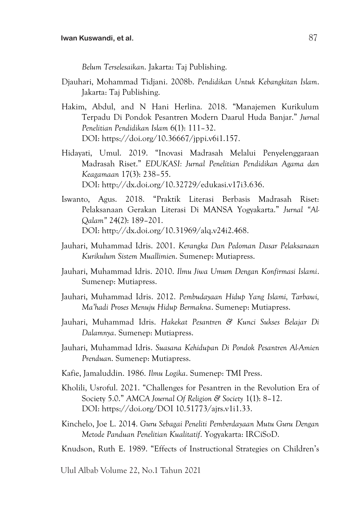*Belum Terselesaikan*. Jakarta: Taj Publishing.

- Djauhari, Mohammad Tidjani. 2008b. *Pendidikan Untuk Kebangkitan Islam*. Jakarta: Taj Publishing.
- Hakim, Abdul, and N Hani Herlina. 2018. "Manajemen Kurikulum Terpadu Di Pondok Pesantren Modern Daarul Huda Banjar." *Jurnal Penelitian Pendidikan Islam* 6(1): 111–32. DOI: https://doi.org/10.36667/jppi.v6i1.157.
- Hidayati, Umul. 2019. "Inovasi Madrasah Melalui Penyelenggaraan Madrasah Riset." *EDUKASI: Jurnal Penelitian Pendidikan Agama dan Keagamaan* 17(3): 238–55. DOI: http://dx.doi.org/10.32729/edukasi.v17i3.636.
- Iswanto, Agus. 2018. "Praktik Literasi Berbasis Madrasah Riset: Pelaksanaan Gerakan Literasi Di MANSA Yogyakarta." *Jurnal "Al-Qalam"* 24(2): 189–201. DOI: http://dx.doi.org/10.31969/alq.v24i2.468.
- Jauhari, Muhammad Idris. 2001. *Kerangka Dan Pedoman Dasar Pelaksanaan Kurikulum Sistem Muallimien*. Sumenep: Mutiapress.
- Jauhari, Muhammad Idris. 2010. *Ilmu Jiwa Umum Dengan Konfirmasi Islami*. Sumenep: Mutiapress.
- Jauhari, Muhammad Idris. 2012. *Pembudayaan Hidup Yang Islami, Tarbawi, Ma'hadi Proses Menuju Hidup Bermakna*. Sumenep: Mutiapress.
- Jauhari, Muhammad Idris. *Hakekat Pesantren & Kunci Sukses Belajar Di Dalamnya*. Sumenep: Mutiapress.
- Jauhari, Muhammad Idris. *Suasana Kehidupan Di Pondok Pesantren Al-Amien Prenduan*. Sumenep: Mutiapress.
- Kafie, Jamaluddin. 1986. *Ilmu Logika*. Sumenep: TMI Press.
- Kholili, Usroful. 2021. "Challenges for Pesantren in the Revolution Era of Society 5.0." *AMCA Journal Of Religion & Society* 1(1): 8–12. DOI: https://doi.org/DOI 10.51773/ajrs.v1i1.33.
- Kinchelo, Joe L. 2014. *Guru Sebagai Peneliti Pemberdayaan Mutu Guru Dengan Metode Panduan Penelitian Kualitatif*. Yogyakarta: IRCiSoD.
- Knudson, Ruth E. 1989. "Effects of Instructional Strategies on Children's
- Ulul Albab Volume 22, No.1 Tahun 2021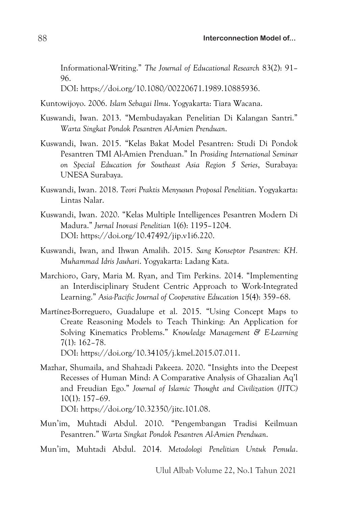Informational-Writing." *The Journal of Educational Research* 83(2): 91– 96.

DOI: https://doi.org/10.1080/00220671.1989.10885936.

Kuntowijoyo. 2006. *Islam Sebagai Ilmu*. Yogyakarta: Tiara Wacana.

- Kuswandi, Iwan. 2013. "Membudayakan Penelitian Di Kalangan Santri." *Warta Singkat Pondok Pesantren Al-Amien Prenduan*.
- Kuswandi, Iwan. 2015. "Kelas Bakat Model Pesantren: Studi Di Pondok Pesantren TMI Al-Amien Prenduan." In *Prosiding International Seminar on Special Education for Southeast Asia Region 5 Series*, Surabaya: UNESA Surabaya.
- Kuswandi, Iwan. 2018. *Teori Praktis Menyusun Proposal Penelitian*. Yogyakarta: Lintas Nalar.
- Kuswandi, Iwan. 2020. "Kelas Multiple Intelligences Pesantren Modern Di Madura." *Jurnal Inovasi Penelitian* 1(6): 1195–1204. DOI: https://doi.org/10.47492/jip.v1i6.220.
- Kuswandi, Iwan, and Ihwan Amalih. 2015. *Sang Konseptor Pesantren: KH. Muhammad Idris Jauhari*. Yogyakarta: Ladang Kata.
- Marchioro, Gary, Maria M. Ryan, and Tim Perkins. 2014. "Implementing an Interdisciplinary Student Centric Approach to Work-Integrated Learning." *Asia-Pacific Journal of Cooperative Education* 15(4): 359–68.
- Martínez-Borreguero, Guadalupe et al. 2015. "Using Concept Maps to Create Reasoning Models to Teach Thinking: An Application for Solving Kinematics Problems." *Knowledge Management & E-Learning* 7(1): 162–78.

DOI: https://doi.org/10.34105/j.kmel.2015.07.011.

- Mazhar, Shumaila, and Shahzadi Pakeeza. 2020. "Insights into the Deepest Recesses of Human Mind: A Comparative Analysis of Ghazalian Aq'l and Freudian Ego." *Journal of Islamic Thought and Civilization (JITC)* 10(1): 157–69. DOI: https://doi.org/10.32350/jitc.101.08.
- Mun'im, Muhtadi Abdul. 2010. "Pengembangan Tradisi Keilmuan Pesantren." *Warta Singkat Pondok Pesantren Al-Amien Prenduan*.
- Mun'im, Muhtadi Abdul. 2014. *Metodologi Penelitian Untuk Pemula*.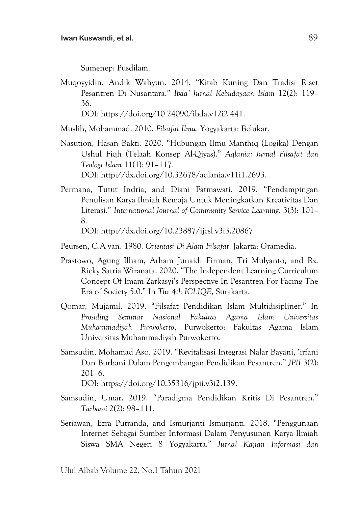Sumenep: Pusdilam.

Muqoyyidin, Andik Wahyun. 2014. "Kitab Kuning Dan Tradisi Riset Pesantren Di Nusantara." *Ibda' Jurnal Kebudayaan Islam* 12(2): 119– 36. DOI: https://doi.org/10.24090/ibda.v12i2.441.

Muslih, Mohammad. 2010. *Filsafat Ilmu*. Yogyakarta: Belukar.

- Nasution, Hasan Bakti. 2020. "Hubungan Ilmu Manthiq (Logika) Dengan Ushul Fiqh (Telaah Konsep Al-Qiyas)." *Aqlania: Jurnal Filsafat dan Teologi Islam* 11(1): 91–117. DOI: http://dx.doi.org/10.32678/aqlania.v11i1.2693.
- Permana, Tutut Indria, and Diani Fatmawati. 2019. "Pendampingan Penulisan Karya Ilmiah Remaja Untuk Meningkatkan Kreativitas Dan Literasi." *International Journal of Community Service Learning.* 3(3): 101– 8. DOI: http://dx.doi.org/10.23887/ijcsl.v3i3.20867.
- Peursen, C.A van. 1980. *Orientasi Di Alam Filsafat*. Jakarta: Gramedia.
- Prastowo, Agung Ilham, Arham Junaidi Firman, Tri Mulyanto, and Rz. Ricky Satria Wiranata. 2020. "The Independent Learning Curriculum Concept Of Imam Zarkasyi's Perspective In Pesantren For Facing The Era of Society 5.0." In *The 4th ICLIQE*, Surakarta.
- Qomar, Mujamil. 2019. "Filsafat Pendidikan Islam Multidisipliner." In *Prosiding Seminar Nasional Fakultas Agama Islam Universitas Muhammadiyah Purwokerto*, Purwokerto: Fakultas Agama Islam Universitas Muhammadiyah Purwokerto.
- Samsudin, Mohamad Aso. 2019. "Revitalisasi Integrasi Nalar Bayani, 'irfani Dan Burhani Dalam Pengembangan Pendidikan Pesantren." *JPII* 3(2): 201–6.

DOI: https://doi.org/10.35316/jpii.v3i2.139.

- Samsudin, Umar. 2019. "Paradigma Pendidikan Kritis Di Pesantren." *Tarbawi* 2(2): 98–111.
- Setiawan, Ezra Putranda, and Ismurjanti Ismurjanti. 2018. "Penggunaan Internet Sebagai Sumber Informasi Dalam Penyusunan Karya Ilmiah Siswa SMA Negeri 8 Yogyakarta." *Jurnal Kajian Informasi dan*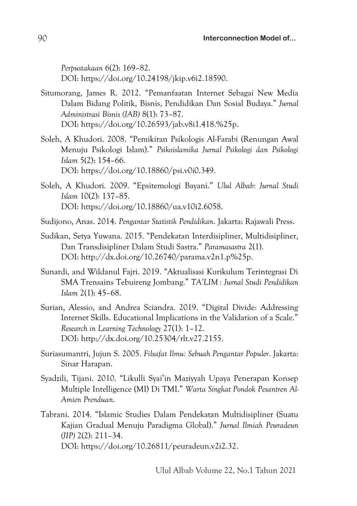*Perpustakaan* 6(2): 169–82. DOI: https://doi.org/10.24198/jkip.v6i2.18590.

- Situmorang, James R. 2012. "Pemanfaatan Internet Sebagai New Media Dalam Bidang Politik, Bisnis, Pendidikan Dan Sosial Budaya." *Jurnal Administrasi Bisnis (JAB)* 8(1): 73–87. DOI: https://doi.org/10.26593/jab.v8i1.418.%25p.
- Soleh, A Khudori. 2008. "Pemikiran Psikologis Al-Farabi (Renungan Awal Menuju Psikologi Islam)." *Psikoislamika Jurnal Psikologi dan Psikologi Islam* 5(2): 154–66. DOI: https://doi.org/10.18860/psi.v0i0.349.
- Soleh, A Khudori. 2009. "Epsitemologi Bayani." *Ulul Albab: Jurnal Studi Islam* 10(2): 137–85. DOI: https://doi.org/10.18860/ua.v10i2.6058.
- Sudijono, Anas. 2014. *Pengantar Statistik Pendidikan*. Jakarta: Rajawali Press.
- Sudikan, Setya Yuwana. 2015. "Pendekatan Interdisipliner, Multidisipliner, Dan Transdisipliner Dalam Studi Sastra." *Paramasastra* 2(1). DOI: http://dx.doi.org/10.26740/parama.v2n1.p%25p.
- Sunardi, and Wildanul Fajri. 2019. "Aktualisasi Kurikulum Terintegrasi Di SMA Trensains Tebuireng Jombang." *TA'LIM : Jurnal Studi Pendidikan Islam* 2(1): 45–68.
- Surian, Alessio, and Andrea Sciandra. 2019. "Digital Divide: Addressing Internet Skills. Educational Implications in the Validation of a Scale." *Research in Learning Technology* 27(1): 1–12. DOI: http://dx.doi.org/10.25304/rlt.v27.2155.
- Suriasumantri, Jujun S. 2005. *Filsafat Ilmu: Sebuah Pengantar Populer*. Jakarta: Sinar Harapan.
- Syadzili, Tijani. 2010. "Likulli Syai'in Maziyyah Upaya Penerapan Konsep Multiple Intelligence (MI) Di TMI." *Warta Singkat Pondok Pesantren Al-Amien Prenduan*.
- Tabrani. 2014. "Islamic Studies Dalam Pendekatan Multidisipliner (Suatu Kajian Gradual Menuju Paradigma Global)." *Jurnal Ilmiah Peuradeun (JIP)* 2(2): 211–34. DOI: https://doi.org/10.26811/peuradeun.v2i2.32.